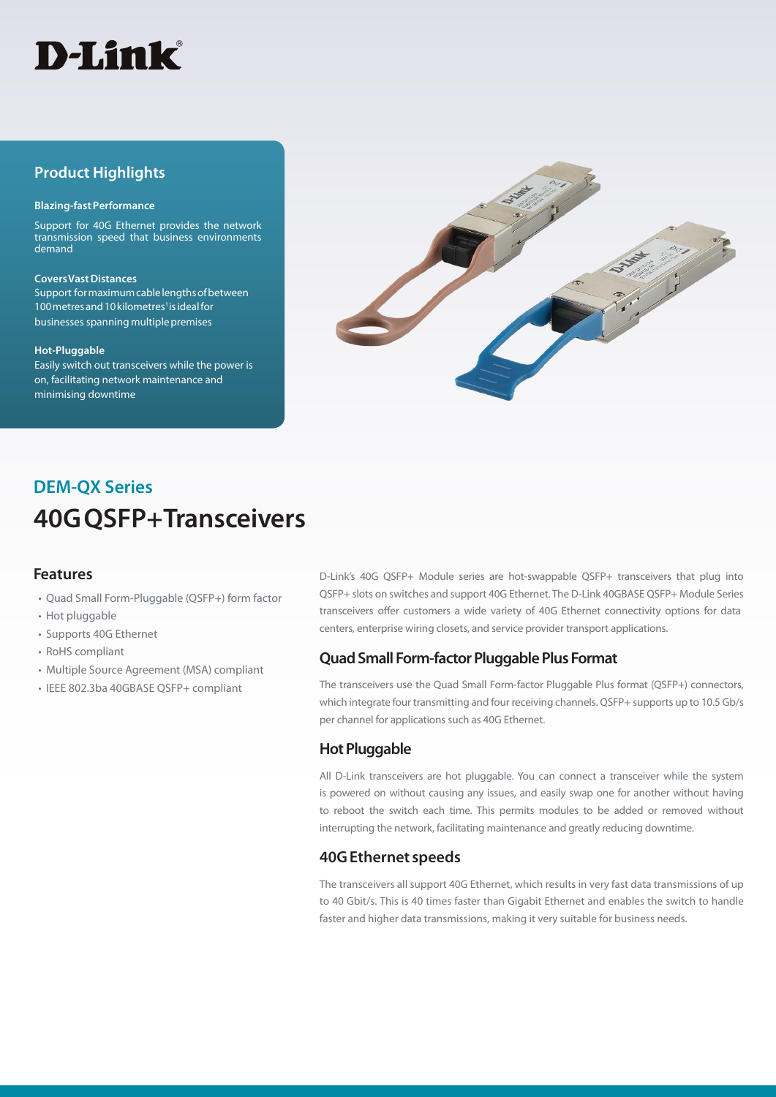

## **Product Highlights**

#### **Blazing-fast Performance**

Support for 40G Ethernet provides the network transmission speed that business environments demand

#### **Covers Vast Distances** Support for maximum cable lengths of between

100 metres and 10 kilometres<sup>1</sup> is ideal for businesses spanning multiple premises

#### **Hot-Pluggable**

Easily switch out transceivers while the power is on, facilitating network maintenance and minimising downtime



# **DEM-QX Series 40G QSFP+ Transceivers**

#### **Features**

- Quad Small Form-Pluggable (QSFP+) form factor
- Hot pluggable
- Supports 40G Ethernet
- RoHS compliant
- Multiple Source Agreement (MSA) compliant
- IEEE 802.3ba 40GBASE QSFP+ compliant

D-Link's 40G QSFP+ Module series are hot-swappable QSFP+ transceivers that plug into QSFP+ slots on switches and support 40G Ethernet. The D-Link 40GBASE QSFP+ Module Series transceivers offer customers a wide variety of 40G Ethernet connectivity options for data centers, enterprise wiring closets, and service provider transport applications.

## **Quad Small Form-factor Pluggable Plus Format**

The transceivers use the Quad Small Form-factor Pluggable Plus format (QSFP+) connectors, which integrate four transmitting and four receiving channels. QSFP+ supports up to 10.5 Gb/s per channel for applications such as 40G Ethernet.

## **Hot Pluggable**

All D-Link transceivers are hot pluggable. You can connect a transceiver while the system is powered on without causing any issues, and easily swap one for another without having to reboot the switch each time. This permits modules to be added or removed without interrupting the network, facilitating maintenance and greatly reducing downtime.

## **40G Ethernet speeds**

The transceivers all support 40G Ethernet, which results in very fast data transmissions of up to 40 Gbit/s. This is 40 times faster than Gigabit Ethernet and enables the switch to handle faster and higher data transmissions, making it very suitable for business needs.